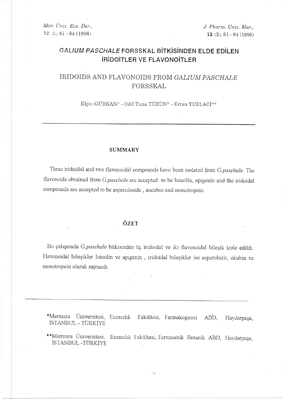Mar. Univ. Ecz. Der.,  $12$   $2$ ,  $81 - 84$  (1996)

J. Pharm. Univ. Mar.,  $12(2), 81 - 84(1996)$ 

# GALIUM PASCHALE FORSSKAL BITKISINDEN ELDE EDILEN **IRIDOITLER VE FLAVONOITLER**

# IRIDOIDS AND FLAVONOIDS FROM GALIUM PASCHALE FORSSKAL

Elçin GÜRKAN\* - Odil Tuna TÜZÜN\* - Ertan TUZLACI\*\*

### **SUMMARY**

Three iridoidal and two flavonoidal compounds have been isolated from G.paschale. The flavonoids obtained from G.paschale are accepted to be luteolin, apigenin and the iridoidal compounds are accepted to be asperuloside, aucubin and monotropein.

### ÖZET

Bu çalışmada G.paschale bitkisinden üç iridoidal ve iki flavonoidal bileşik izole edildi. Flavonoidal bileşikler luteolin ve apigenin, iridoidal bileşikler ise asperulozit, okubin ve monotropein olarak saptandı.

\*Marmara Üniversitesi, Eczacılık Fakültesi, Farmakognozi ABD, Haydarpaşa, ISTANBUL - TÜRKİYE

\*\*Marmara Üniversitesi, Eczacılık Fakültesi, Farmasötik Botanik ABD, Haydarpaşa, ISTANBUL -TÜRKIYE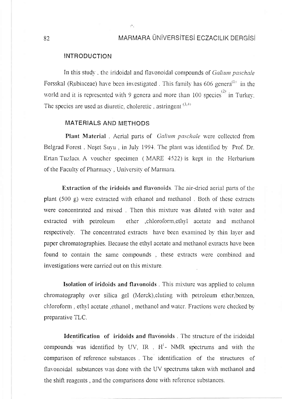## MARMARA ÜNİVERSİTESİ FCZACILIK DERGİSİ

## **INTRODUCTION**

In this study, the iridoidal and flavonoidal compounds of Galium paschale Forsskal (Rubiaceae) have been investigated. This family has  $606 \text{ genera}^{(1)}$  in the world and it is represented with 9 genera and more than 100 species<sup>(2)</sup> in Turkey. The species are used as diuretic, choleretic, astringent  $(3,4)$ 

 $\Omega_{\rm{C}}$ 

## MATERIALS AND METHODS

Plant Material. Aerial parts of Galium paschale were collected from Belgrad Forest. Neset Suyu, in July 1994. The plant was identified by Prof. Dr. Ertan Tuzlaci. A voucher specimen (MARE 4522) is kept in the Herbarium of the Faculty of Pharmacy, University of Marmara.

**Extraction of the iridoids and flavonoids.** The air-dried aerial parts of the plant  $(500 \text{ g})$  were extracted with ethanol and methanol. Both of these extracts were concentrated and mixed. Then this mixture was diluted with water and extracted with petroleum ether ,chloroform,ethyl acetate and methanol respectively. The concentrated extracts have been examined by thin layer and paper chromatographies. Because the ethyl acetate and methanol extracts have been found to contain the same compounds, these extracts were combined and investigations were carried out on this mixture.

Isolation of iridoids and flavonoids. This mixture was applied to column chromatography over silica gel (Merck), eluting with petroleum ether, benzen, chloroform, ethyl acetate, ethanol, methanol and water. Fractions were checked by preparative TLC.

Identification of iridoids and flavonoids. The structure of the iridoidal compounds was identified by UV, IR , H<sup>1</sup>- NMR spectrums and with the comparison of reference substances. The identification of the structures of flavonoidal substances was done with the UV spectrums taken with methanol and the shift reagents, and the comparisons done with reference substances.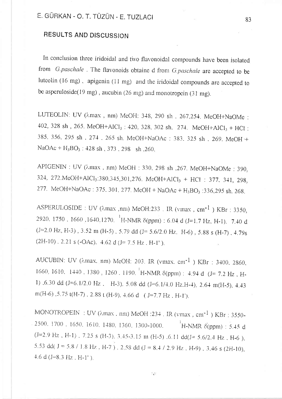# RESULTS AND DISCUSSION

In conclusion three iridoidal and two flavonoidal compounds have been isolated from G.paschale. The flavonoids obtaine d from G.paschale are accepted to be luteolin (16 mg), apigenin (11 mg) and the iridoidal compounds are accepted to be asperuloside(19 mg), aucubin (26 mg) and monotropein (31 mg).

LUTEOLIN: UV ( $\lambda$ max, nm) MeOH: 348, 290 sh, 267,254. MeOH+NaOMe: 402, 328 sh, 265. MeOH+AlCl<sub>3</sub>: 420, 328, 302 sh, 274. MeOH+AlCl<sub>3</sub> + HCl; 385, 356, 295 sh . 274, 265 sh, MeOH+NaOAc : 383, 325 sh, 269, MeOH+  $NaOAc + H_3BO_3$ : 428 sh, 373, 298 sh, 260.

APIGENIN : UV ( $\lambda$ max, nm) MeOH : 330, 298 sh , 267. MeOH+NaOMe : 390, 324, 272. MeOH+AlCl<sub>3</sub>: 380, 345, 301, 276. MeOH+AlCl<sub>3</sub> + HCl : 377, 341, 298, 277. McOH+NaOAc: 375, 301, 277. McOH + NaOAc + H<sub>3</sub>BO<sub>3</sub>: 336, 295 sh, 268.

ASPERULOSIDE : UV ( $\lambda$ max, nm) MeOH:233 . IR (vmax, cm<sup>-1</sup>) KBr : 3350. 2920, 1750, 1660, 1640, 1270. <sup>1</sup>H-NMR δ(ppm): 6.04 d (J=1.7 Hz, H-1). 7.40 d  $(J=2.0 \text{ Hz}, \text{ H-3})$ , 3.52 m (H-5), 5.79 dd (J= 5.6/2.0 Hz, H-6), 5.88 s (H-7), 4.79s  $(2H-10)$ , 2.21 s (-OAc), 4.62 d (J= 7.5 Hz, H-1').

AUCUBIN: UV ( $\lambda$ max, nm) MeOH: 203. IR (vmax, cm<sup>-1</sup>) KBr: 3400, 2860, 1660, 1610, 1440, 1380, 1260, 1190, <sup>1</sup>H-NMR δ(ppm) : 4.94 d (J= 7.2 Hz, H-1)  $0.30$  dd (J=6.1/2.0 Hz, H-3). 5.08 dd (J=6.1/4.0 Hz, H-4), 2.64 m(H-5), 4.43 m(H-6), 5.75 t(H-7), 2.88 t (H-9), 4.66 d (J=7.7 Hz, H-1').

MONOTROPEIN: UV ( $\lambda$ max, nm) MeOH: 234. IR (vmax, cm<sup>-1</sup>) KBr: 3550-2500, 1700, 1650, 1610, 1480, 1360, 1300-1000.  $H\text{-NMR} \, \delta(ppm)$  : 5.45 d  $(J=2.9 \text{ Hz}$ , H-1), 7.25 s (H-3), 3.45-3.15 m (H-5), 6.11 dd(J= 5.6/2.4 Hz, H-6). 5.53 dd(  $J = 5.8 / 1.8$  Hz,  $H - 7$ ). 2.58 dd ( $J = 8.4 / 2.9$  Hz,  $H - 9$ ), 3.46 s (2H-10),  $4.6 d (J=8.3 Hz$ . H-1').

 $\mathbb{C}^{\times}$